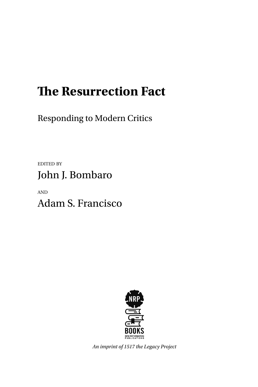# **!e Resurrection Fact**

Responding to Modern Critics

EDITED BY John J. Bombaro

AND Adam S. Francisco



*An imprint of 1517 the Legacy Project*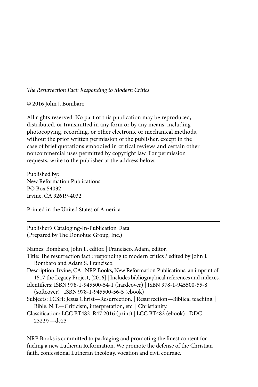#### !*e Resurrection Fact: Responding to Modern Critics*

© 2016 John J. Bombaro

All rights reserved. No part of this publication may be reproduced, distributed, or transmitted in any form or by any means, including photocopying, recording, or other electronic or mechanical methods, without the prior written permission of the publisher, except in the case of brief quotations embodied in critical reviews and certain other noncommercial uses permitted by copyright law. For permission requests, write to the publisher at the address below.

Published by: New Reformation Publications PO Box 54032 Irvine, CA 92619-4032

Printed in the United States of America

Publisher's Cataloging-In-Publication Data (Prepared by The Donohue Group, Inc.)

Names: Bombaro, John J., editor. | Francisco, Adam, editor. Title: The resurrection fact : responding to modern critics / edited by John J. Bombaro and Adam S. Francisco. Description: Irvine, CA : NRP Books, New Reformation Publications, an imprint of 1517 the Legacy Project, [2016] | Includes bibliographical references and indexes. Identifiers: ISBN 978-1-945500-54-1 (hardcover) | ISBN 978-1-945500-55-8 (so#cover) | ISBN 978-1-945500-56-5 (ebook) Subjects: LCSH: Jesus Christ—Resurrection. | Resurrection—Biblical teaching. | Bible. N.T.—Criticism, interpretation, etc. | Christianity. Classification: LCC BT482 .R47 2016 (print) | LCC BT482 (ebook) | DDC 232.97—dc23

NRP Books is committed to packaging and promoting the finest content for fueling a new Lutheran Reformation. We promote the defense of the Christian faith, confessional Lutheran theology, vocation and civil courage.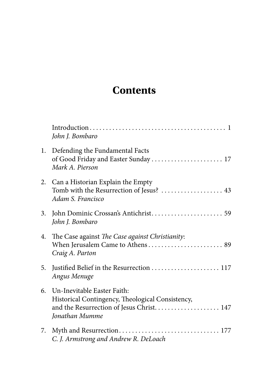## **Contents**

|    | John J. Bombaro                                                                                                                                  |
|----|--------------------------------------------------------------------------------------------------------------------------------------------------|
|    | 1. Defending the Fundamental Facts<br>of Good Friday and Easter Sunday  17<br>Mark A. Pierson                                                    |
|    | 2. Can a Historian Explain the Empty<br>Tomb with the Resurrection of Jesus?  43<br>Adam S. Francisco                                            |
| 3. | John J. Bombaro                                                                                                                                  |
|    | 4. The Case against The Case against Christianity:<br>When Jerusalem Came to Athens 89<br>Craig A. Parton                                        |
| 5. | Angus Menuge                                                                                                                                     |
|    | 6. Un-Inevitable Easter Faith:<br>Historical Contingency, Theological Consistency,<br>and the Resurrection of Jesus Christ 147<br>Jonathan Mumme |
| 7. | C. J. Armstrong and Andrew R. DeLoach                                                                                                            |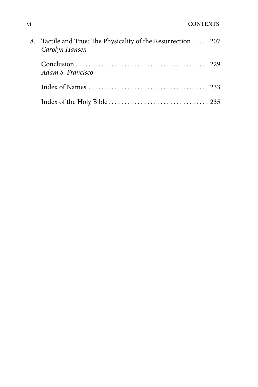| Tactile and True: The Physicality of the Resurrection  207<br>Carolyn Hansen |
|------------------------------------------------------------------------------|
| Adam S. Francisco                                                            |
|                                                                              |
|                                                                              |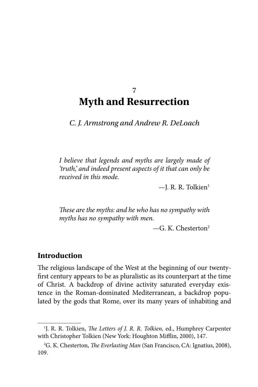### 7 **Myth and Resurrection**

*C. J. Armstrong and Andrew R. DeLoach*

*I believe that legends and myths are largely made of 'truth,' and indeed present aspects of it that can only be received in this mode.*

 $-$ J. R. R. Tolkien $<sup>1</sup>$ </sup>

!*ese are the myths: and he who has no sympathy with myths has no sympathy with men.*

 $-G. K. Chesterton<sup>2</sup>$ 

#### **Introduction**

The religious landscape of the West at the beginning of our twentyfirst century appears to be as pluralistic as its counterpart at the time of Christ. A backdrop of divine activity saturated everyday existence in the Roman-dominated Mediterranean, a backdrop populated by the gods that Rome, over its many years of inhabiting and

<sup>&</sup>lt;sup>1</sup>J. R. R. Tolkien, *The Letters of J. R. R. Tolkien*, ed., Humphrey Carpenter with Christopher Tolkien (New York: Houghton Mifflin, 2000), 147.

<sup>&</sup>lt;sup>2</sup>G. K. Chesterton, *The Everlasting Man* (San Francisco, CA: Ignatius, 2008), 109.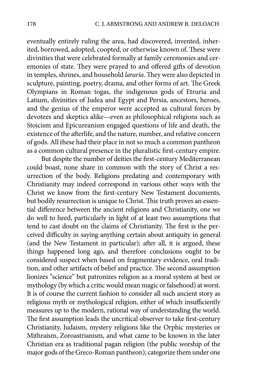eventually entirely ruling the area, had discovered, invented, inherited, borrowed, adopted, coopted, or otherwise known of. These were divinities that were celebrated formally at family ceremonies and ceremonies of state. They were prayed to and offered gifts of devotion in temples, shrines, and household *lararia*. They were also depicted in sculpture, painting, poetry, drama, and other forms of art. The Greek Olympians in Roman togas, the indigenous gods of Etruria and Latium, divinities of Judea and Egypt and Persia, ancestors, heroes, and the genius of the emperor were accepted as cultural forces by devotees and skeptics alike—even as philosophical religions such as Stoicism and Epicureanism engaged questions of life and death, the existence of the afterlife, and the nature, number, and relative concern of gods. All these had their place in not so much a common pantheon as a common cultural presence in the pluralistic first-century empire.

But despite the number of deities the first-century Mediterranean could boast, none share in common with the story of Christ a resurrection of the body. Religions predating and contemporary with Christianity may indeed correspond in various other ways with the Christ we know from the first-century New Testament documents, but bodily resurrection is unique to Christ. This truth proves an essential difference between the ancient religions and Christianity, one we do well to heed, particularly in light of at least two assumptions that tend to cast doubt on the claims of Christianity. The first is the perceived difficulty in saying anything certain about antiquity in general (and the New Testament in particular); after all, it is argued, these things happened long ago, and therefore conclusions ought to be considered suspect when based on fragmentary evidence, oral tradition, and other artifacts of belief and practice. The second assumption lionizes "science" but patronizes religion as a moral system at best or mythology (by which a critic would mean magic or falsehood) at worst. It is of course the current fashion to consider all such ancient story as religious myth or mythological religion, either of which insufficiently measures up to the modern, rational way of understanding the world. The first assumption leads the uncritical observer to take first-century Christianity, Judaism, mystery religions like the Orphic mysteries or Mithraism, Zoroastrianism, and what came to be known in the later Christian era as traditional pagan religion (the public worship of the major gods of the Greco-Roman pantheon); categorize them under one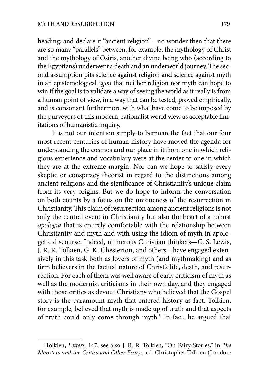heading; and declare it "ancient religion"—no wonder then that there are so many "parallels" between, for example, the mythology of Christ and the mythology of Osiris, another divine being who (according to the Egyptians) underwent a death and an underworld journey. The second assumption pits science against religion and science against myth in an epistemological *agon* that neither religion nor myth can hope to win if the goal is to validate a way of seeing the world as it really is from a human point of view, in a way that can be tested, proved empirically, and is consonant furthermore with what have come to be imposed by the purveyors of this modern, rationalist world view as acceptable limitations of humanistic inquiry.

It is not our intention simply to bemoan the fact that our four most recent centuries of human history have moved the agenda for understanding the cosmos and our place in it from one in which religious experience and vocabulary were at the center to one in which they are at the extreme margin. Nor can we hope to satisfy every skeptic or conspiracy theorist in regard to the distinctions among ancient religions and the significance of Christianity's unique claim from its very origins. But we do hope to inform the conversation on both counts by a focus on the uniqueness of the resurrection in Christianity. This claim of resurrection among ancient religions is not only the central event in Christianity but also the heart of a robust *apologia* that is entirely comfortable with the relationship between Christianity and myth and with using the idiom of myth in apologetic discourse. Indeed, numerous Christian thinkers—C. S. Lewis, J. R. R. Tolkien, G. K. Chesterton, and others—have engaged extensively in this task both as lovers of myth (and mythmaking) and as firm believers in the factual nature of Christ's life, death, and resurrection. For each of them was well aware of early criticism of myth as well as the modernist criticisms in their own day, and they engaged with those critics as devout Christians who believed that the Gospel story is the paramount myth that entered history as fact. Tolkien, for example, believed that myth is made up of truth and that aspects of truth could only come through myth.<sup>3</sup> In fact, he argued that

<sup>&</sup>lt;sup>3</sup>Tolkien, *Letters*, 147; see also J. R. R. Tolkien, "On Fairy-Stories," in *The Monsters and the Critics and Other Essays,* ed. Christopher Tolkien (London: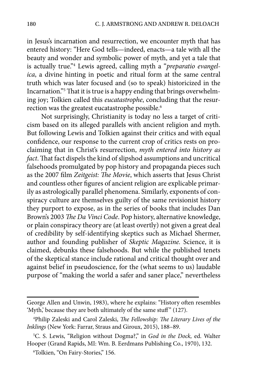in Jesus's incarnation and resurrection, we encounter myth that has entered history: "Here God tells—indeed, enacts—a tale with all the beauty and wonder and symbolic power of myth, and yet a tale that is actually true."4 Lewis agreed, calling myth a "*preparatio evangelica*, a divine hinting in poetic and ritual form at the same central truth which was later focused and (so to speak) historicized in the Incarnation."<sup>5</sup> That it is true is a happy ending that brings overwhelming joy; Tolkien called this *eucatastrophe*, concluding that the resurrection was the greatest eucatastrophe possible.<sup>6</sup>

Not surprisingly, Christianity is today no less a target of criticism based on its alleged parallels with ancient religion and myth. But following Lewis and Tolkien against their critics and with equal confidence, our response to the current crop of critics rests on proclaiming that in Christ's resurrection, *myth entered into history as*  fact. That fact dispels the kind of slipshod assumptions and uncritical falsehoods promulgated by pop history and propaganda pieces such as the 2007 film *Zeitgeist: The Movie*, which asserts that Jesus Christ and countless other figures of ancient religion are explicable primarily as astrologically parallel phenomena. Similarly, exponents of conspiracy culture are themselves guilty of the same revisionist history they purport to expose, as in the series of books that includes Dan Brown's 2003 The Da Vinci Code. Pop history, alternative knowledge, or plain conspiracy theory are (at least overtly) not given a great deal of credibility by self-identifying skeptics such as Michael Shermer, author and founding publisher of *Skeptic Magazine.* Science, it is claimed, debunks these falsehoods. But while the published tenets of the skeptical stance include rational and critical thought over and against belief in pseudoscience, for the (what seems to us) laudable purpose of "making the world a safer and saner place," nevertheless

George Allen and Unwin, 1983), where he explains: "History often resembles 'Myth,' because they are both ultimately of the same stuff" (127).

<sup>&</sup>lt;sup>4</sup>Philip Zaleski and Carol Zaleski, *The Fellowship: The Literary Lives of the Inklings* (New York: Farrar, Straus and Giroux, 2015), 188–89.

<sup>5</sup> C. S. Lewis, "Religion without Dogma?," in *God in the Dock,* ed. Walter Hooper (Grand Rapids, MI: Wm. B. Eerdmans Publishing Co., 1970), 132.

<sup>6</sup> Tolkien, "On Fairy-Stories," 156.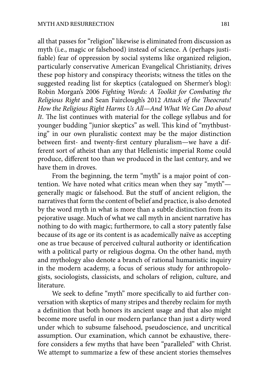all that passes for "religion" likewise is eliminated from discussion as myth (i.e., magic or falsehood) instead of science. A (perhaps justi fiable) fear of oppression by social systems like organized religion, particularly conservative American Evangelical Christianity, drives these pop history and conspiracy theorists; witness the titles on the suggested reading list for skeptics (catalogued on Shermer's blog): Robin Morgan's 2006 *Fighting Words: A Toolkit for Combating the Religious Right* and Sean Fairclough's 2012 *Attack of the* !*eocrats! How the Religious Right Harms Us All—And What We Can Do about*  It. The list continues with material for the college syllabus and for younger budding "junior skeptics" as well. This kind of "mythbusting" in our own pluralistic context may be the major distinction between first- and twenty-first century pluralism—we have a different sort of atheist than any that Hellenistic imperial Rome could produce, different too than we produced in the last century, and we have them in droves.

From the beginning, the term "myth" is a major point of contention. We have noted what critics mean when they say "myth" generally magic or falsehood. But the stuff of ancient religion, the narratives that form the content of belief and practice, is also denoted by the word myth in what is more than a subtle distinction from its pejorative usage. Much of what we call myth in ancient narrative has nothing to do with magic; furthermore, to call a story patently false because of its age or its content is as academically naïve as accepting one as true because of perceived cultural authority or identification with a political party or religious dogma. On the other hand, myth and mythology also denote a branch of rational humanistic inquiry in the modern academy, a focus of serious study for anthropologists, sociologists, classicists, and scholars of religion, culture, and literature.

We seek to define "myth" more specifically to aid further conversation with skeptics of many stripes and thereby reclaim for myth a definition that both honors its ancient usage and that also might become more useful in our modern parlance than just a dirty word under which to subsume falsehood, pseudoscience, and uncritical assumption. Our examination, which cannot be exhaustive, therefore considers a few myths that have been "paralleled" with Christ. We attempt to summarize a few of these ancient stories themselves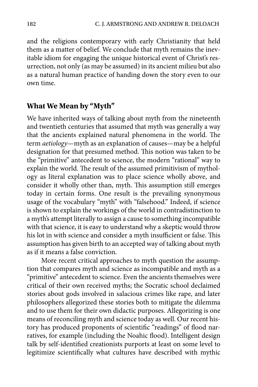and the religions contemporary with early Christianity that held them as a matter of belief. We conclude that myth remains the inevitable idiom for engaging the unique historical event of Christ's resurrection, not only (as may be assumed) in its ancient milieu but also as a natural human practice of handing down the story even to our own time.

#### **What We Mean by "Myth"**

We have inherited ways of talking about myth from the nineteenth and twentieth centuries that assumed that myth was generally a way that the ancients explained natural phenomena in the world. The term *aetiology*—myth as an explanation of causes—may be a helpful designation for that presumed method. This notion was taken to be the "primitive" antecedent to science, the modern "rational" way to explain the world. The result of the assumed primitivism of mythology as literal explanation was to place science wholly above, and consider it wholly other than, myth. This assumption still emerges today in certain forms. One result is the prevailing synonymous usage of the vocabulary "myth" with "falsehood." Indeed, if science is shown to explain the workings of the world in contradistinction to a myth's attempt literally to assign a cause to something incompatible with that science, it is easy to understand why a skeptic would throw his lot in with science and consider a myth insufficient or false. This assumption has given birth to an accepted way of talking about myth as if it means a false conviction.

More recent critical approaches to myth question the assumption that compares myth and science as incompatible and myth as a "primitive" antecedent to science. Even the ancients themselves were critical of their own received myths; the Socratic school declaimed stories about gods involved in salacious crimes like rape, and later philosophers allegorized these stories both to mitigate the dilemma and to use them for their own didactic purposes. Allegorizing is one means of reconciling myth and science today as well. Our recent history has produced proponents of scientific "readings" of flood narratives, for example (including the Noahic flood). Intelligent design talk by self-identified creationists purports at least on some level to legitimize scientifically what cultures have described with mythic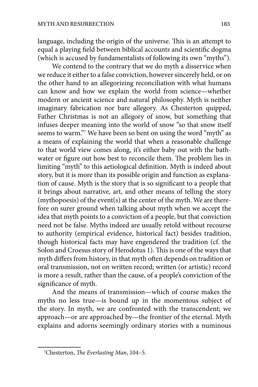language, including the origin of the universe. This is an attempt to equal a playing field between biblical accounts and scientific dogma (which is accused by fundamentalists of following its own "myths").

We contend to the contrary that we do myth a disservice when we reduce it either to a false conviction, however sincerely held, or on the other hand to an allegorizing reconciliation with what humans can know and how we explain the world from science—whether modern or ancient science and natural philosophy. Myth is neither imaginary fabrication nor bare allegory. As Chesterton quipped, Father Christmas is not an allegory of snow, but something that infuses deeper meaning into the world of snow "so that snow itself seems to warm."7 We have been so bent on using the word "myth" as a means of explaining the world that when a reasonable challenge to that world view comes along, it's either baby out with the bathwater or figure out how best to reconcile them. The problem lies in limiting "myth" to this aetiological definition. Myth is indeed about story, but it is more than its possible origin and function as explanation of cause. Myth is the story that is so significant to a people that it brings about narrative, art, and other means of telling the story (mythopoesis) of the event(s) at the center of the myth. We are therefore on surer ground when talking about myth when we accept the idea that myth points to a conviction of a people, but that conviction need not be false. Myths indeed are usually retold without recourse to authority (empirical evidence, historical fact) besides tradition, though historical facts may have engendered the tradition (cf. the Solon and Croesus story of Herodotus 1). This is one of the ways that myth differs from history, in that myth often depends on tradition or oral transmission, not on written record; written (or artistic) record is more a result, rather than the cause, of a people's conviction of the significance of myth.

And the means of transmission—which of course makes the myths no less true—is bound up in the momentous subject of the story. In myth, we are confronted with the transcendent; we approach—or are approached by—the frontier of the eternal. Myth explains and adorns seemingly ordinary stories with a numinous

<sup>&</sup>lt;sup>7</sup>Chesterton, *The Everlasting Man*, 104-5.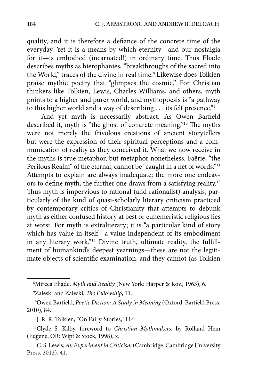quality, and it is therefore a defiance of the concrete time of the everyday. Yet it is a means by which eternity—and our nostalgia for it—is embodied (incarnated!) in ordinary time. Thus Eliade describes myths as hierophanies, "breakthroughs of the sacred into the World," traces of the divine in real time.<sup>8</sup> Likewise does Tolkien praise mythic poetry that "glimpses the cosmic." For Christian thinkers like Tolkien, Lewis, Charles Williams, and others, myth points to a higher and purer world, and mythopoesis is "a pathway to this higher world and a way of describing . . . its felt presence."9

And yet myth is necessarily abstract. As Owen Barfield described it, myth is "the ghost of concrete meaning."<sup>10</sup> The myths were not merely the frivolous creations of ancient storytellers but were the expression of their spiritual perceptions and a communication of reality as they conceived it. What we now receive in the myths is true metaphor, but metaphor nonetheless. Faërie, "the Perilous Realm" of the eternal, cannot be "caught in a net of words."<sup>11</sup> Attempts to explain are always inadequate; the more one endeavors to define myth, the further one draws from a satisfying reality.<sup>12</sup> Thus myth is impervious to rational (and rationalist) analysis, particularly of the kind of quasi-scholarly literary criticism practiced by contemporary critics of Christianity that attempts to debunk myth as either confused history at best or euhemeristic religious lies at worst. For myth is extraliterary; it is "a particular kind of story which has value in itself—a value independent of its embodiment in any literary work."<sup>13</sup> Divine truth, ultimate reality, the fulfillment of humankind's deepest yearnings—these are not the legitimate objects of scientific examination, and they cannot (as Tolkien

<sup>8</sup> Mircea Eliade, *Myth and Reality* (New York: Harper & Row, 1963), 6.

<sup>&</sup>lt;sup>9</sup>Zaleski and Zaleski, *The Fellowship*, 11.

<sup>&</sup>lt;sup>10</sup>Owen Barfield, *Poetic Diction: A Study in Meaning* (Oxford: Barfield Press, 2010), 84.

<sup>&</sup>lt;sup>11</sup>J. R. R. Tolkien, "On Fairy-Stories," 114.

<sup>12</sup>Clyde S. Kilby, foreword to *Christian Mythmakers,* by Rolland Hein (Eugene, OR: Wipf & Stock, 1998), x.

<sup>13</sup>C. S. Lewis, *An Experiment in Criticism* (Cambridge: Cambridge University Press, 2012), 41.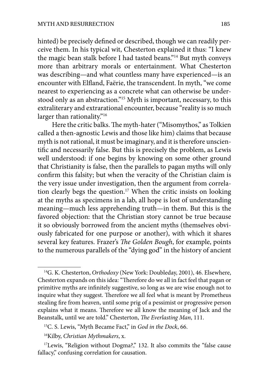hinted) be precisely defined or described, though we can readily perceive them. In his typical wit, Chesterton explained it thus: "I knew the magic bean stalk before I had tasted beans."14 But myth conveys more than arbitrary morals or entertainment. What Chesterton was describing—and what countless many have experienced—is an encounter with Elfland, Faërie, the transcendent. In myth, "we come nearest to experiencing as a concrete what can otherwise be understood only as an abstraction."15 Myth is important, necessary, to this extraliterary and extrarational encounter, because "reality is so much larger than rationality."<sup>16</sup>

Here the critic balks. The myth-hater ("Misomythos," as Tolkien called a then-agnostic Lewis and those like him) claims that because myth is not rational, it must be imaginary, and it is therefore unscientific and necessarily false. But this is precisely the problem, as Lewis well understood: if one begins by knowing on some other ground that Christianity is false, then the parallels to pagan myths will only confirm this falsity; but when the veracity of the Christian claim is the very issue under investigation, then the argument from correlation clearly begs the question.<sup>17</sup> When the critic insists on looking at the myths as specimens in a lab, all hope is lost of understanding meaning—much less apprehending truth—in them. But this is the favored objection: that the Christian story cannot be true because it so obviously borrowed from the ancient myths (themselves obviously fabricated for one purpose or another), with which it shares several key features. Frazer's *The Golden Bough*, for example, points to the numerous parallels of the "dying god" in the history of ancient

<sup>14</sup>G. K. Chesterton, *Orthodoxy* (New York: Doubleday, 2001), 46. Elsewhere, Chesterton expands on this idea: "Therefore do we all in fact feel that pagan or primitive myths are infinitely suggestive, so long as we are wise enough not to inquire what they suggest. Therefore we all feel what is meant by Prometheus stealing fire from heaven, until some prig of a pessimist or progressive person explains what it means. Therefore we all know the meaning of Jack and the Beanstalk, until we are told." Chesterton, *The Everlasting Man*, 111.

<sup>15</sup>C. S. Lewis, "Myth Became Fact," in *God in the Dock*, 66.

<sup>16</sup>Kilby, *Christian Mythmakers*, x.

<sup>&</sup>lt;sup>17</sup>Lewis, "Religion without Dogma?," 132. It also commits the "false cause fallacy," confusing correlation for causation.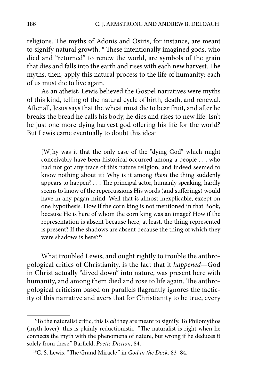religions. The myths of Adonis and Osiris, for instance, are meant to signify natural growth.<sup>18</sup> These intentionally imagined gods, who died and "returned" to renew the world, are symbols of the grain that dies and falls into the earth and rises with each new harvest. The myths, then, apply this natural process to the life of humanity: each of us must die to live again.

As an atheist, Lewis believed the Gospel narratives were myths of this kind, telling of the natural cycle of birth, death, and renewal. After all, Jesus says that the wheat must die to bear fruit, and after he breaks the bread he calls his body, he dies and rises to new life. Isn't he just one more dying harvest god offering his life for the world? But Lewis came eventually to doubt this idea:

[W]hy was it that the only case of the "dying God" which might conceivably have been historical occurred among a people . . . who had not got any trace of this nature religion, and indeed seemed to know nothing about it? Why is it among *them* the thing suddenly appears to happen? . . . The principal actor, humanly speaking, hardly seems to know of the repercussions His words (and sufferings) would have in any pagan mind. Well that is almost inexplicable, except on one hypothesis. How if the corn king is not mentioned in that Book, because He is here of whom the corn king was an image? How if the representation is absent because here, at least, the thing represented is present? If the shadows are absent because the thing of which they were shadows is here?19

What troubled Lewis, and ought rightly to trouble the anthropological critics of Christianity, is the fact that it *happened*—God in Christ actually "dived down" into nature, was present here with humanity, and among them died and rose to life again. The anthropological criticism based on parallels flagrantly ignores the facticity of this narrative and avers that for Christianity to be true, every

<sup>18</sup>To the naturalist critic, this is *all* they are meant to signify. To Philomythos (myth-lover), this is plainly reductionistic: "The naturalist is right when he connects the myth with the phenomena of nature, but wrong if he deduces it solely from these." Barfield, *Poetic Diction*, 84.

<sup>&</sup>lt;sup>19</sup>C. S. Lewis, "The Grand Miracle," in *God in the Dock*, 83-84.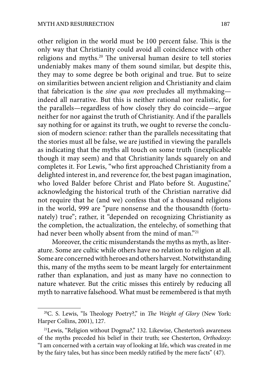other religion in the world must be 100 percent false. This is the only way that Christianity could avoid all coincidence with other religions and myths.<sup>20</sup> The universal human desire to tell stories undeniably makes many of them sound similar, but despite this, they may to some degree be both original and true. But to seize on similarities between ancient religion and Christianity and claim that fabrication is the *sine qua non* precludes all mythmaking indeed all narrative. But this is neither rational nor realistic, for the parallels—regardless of how closely they do coincide—argue neither for nor against the truth of Christianity. And if the parallels say nothing for or against its truth, we ought to reverse the conclusion of modern science: rather than the parallels necessitating that the stories must all be false, we are justified in viewing the parallels as indicating that the myths all touch on some truth (inexplicable though it may seem) and that Christianity lands squarely on and completes it. For Lewis, "who first approached Christianity from a delighted interest in, and reverence for, the best pagan imagination, who loved Balder before Christ and Plato before St. Augustine," acknowledging the historical truth of the Christian narrative did not require that he (and we) confess that of a thousand religions in the world, 999 are "pure nonsense and the thousandth (fortunately) true"; rather, it "depended on recognizing Christianity as the completion, the actualization, the entelechy, of something that had never been wholly absent from the mind of man."<sup>21</sup>

Moreover, the critic misunderstands the myths as myth, as literature. Some are cultic while others have no relation to religion at all. Some are concerned with heroes and others harvest. Notwithstanding this, many of the myths seem to be meant largely for entertainment rather than explanation, and just as many have no connection to nature whatever. But the critic misses this entirely by reducing all myth to narrative falsehood. What must be remembered is that myth

<sup>&</sup>lt;sup>20</sup>C. S. Lewis, "Is Theology Poetry?," in *The Weight of Glory* (New York: Harper Collins, 2001), 127.

<sup>21</sup>Lewis, "Religion without Dogma?," 132. Likewise, Chesterton's awareness of the myths preceded his belief in their truth; see Chesterton, *Orthodoxy*: "I am concerned with a certain way of looking at life, which was created in me by the fairy tales, but has since been meekly ratified by the mere facts" (47).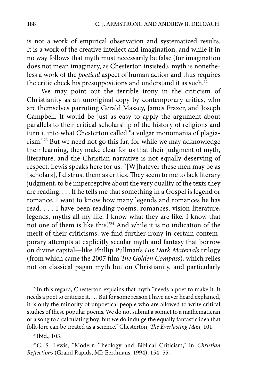is not a work of empirical observation and systematized results. It is a work of the creative intellect and imagination, and while it in no way follows that myth must necessarily be false (for imagination does not mean imaginary, as Chesterton insisted), myth is nonetheless a work of the *poetical* aspect of human action and thus requires the critic check his presuppositions and understand it as such.<sup>22</sup>

We may point out the terrible irony in the criticism of Christianity as an unoriginal copy by contemporary critics, who are themselves parroting Gerald Massey, James Frazer, and Joseph Campbell. It would be just as easy to apply the argument about parallels to their critical scholarship of the history of religions and turn it into what Chesterton called "a vulgar monomania of plagiarism."23 But we need not go this far, for while we may acknowledge their learning, they make clear for us that their judgment of myth, literature, and the Christian narrative is not equally deserving of respect. Lewis speaks here for us: "[W]hatever these men may be as [scholars], I distrust them as critics. They seem to me to lack literary judgment, to be imperceptive about the very quality of the texts they are reading. . . . If he tells me that something in a Gospel is legend or romance, I want to know how many legends and romances he has read. . . . I have been reading poems, romances, vision-literature, legends, myths all my life. I know what they are like. I know that not one of them is like this."24 And while it is no indication of the merit of their criticisms, we find further irony in certain contemporary attempts at explicitly secular myth and fantasy that borrow on divine capital—like Phillip Pullman's *His Dark Materials* trilogy (from which came the 2007 film *The Golden Compass*), which relies not on classical pagan myth but on Christianity, and particularly

<sup>&</sup>lt;sup>22</sup>In this regard, Chesterton explains that myth "needs a poet to make it. It needs a poet to criticize it. . . . But for some reason I have never heard explained, it is only the minority of unpoetical people who are allowed to write critical studies of these popular poems. We do not submit a sonnet to a mathematician or a song to a calculating boy; but we do indulge the equally fantastic idea that folk-lore can be treated as a science." Chesterton, *The Everlasting Man*, 101.

<sup>23</sup>Ibid., 103.

<sup>&</sup>lt;sup>24</sup>C. S. Lewis, "Modern Theology and Biblical Criticism," in *Christian Re*"*ections* (Grand Rapids, MI: Eerdmans, 1994), 154–55.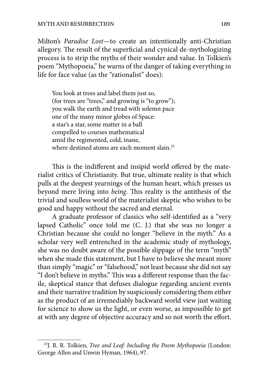Milton's *Paradise Lost*—to create an intentionally anti-Christian allegory. The result of the superficial and cynical de-mythologizing process is to strip the myths of their wonder and value. In Tolkien's poem "Mythopoeia," he warns of the danger of taking everything in life for face value (as the "rationalist" does):

You look at trees and label them just so, (for trees are "trees," and growing is "to grow"); you walk the earth and tread with solemn pace one of the many minor globes of Space: a star's a star, some matter in a ball compelled to courses mathematical amid the regimented, cold, inane, where destined atoms are each moment slain.<sup>25</sup>

This is the indifferent and insipid world offered by the materialist critics of Christianity. But true, ultimate reality is that which pulls at the deepest yearnings of the human heart, which presses us beyond mere living into *being*. This reality is the antithesis of the trivial and soulless world of the materialist skeptic who wishes to be good and happy without the sacred and eternal.

A graduate professor of classics who self-identified as a "very lapsed Catholic" once told me (C. J.) that she was no longer a Christian because she could no longer "believe in the myth." As a scholar very well entrenched in the academic study of mythology, she was no doubt aware of the possible slippage of the term "myth" when she made this statement, but I have to believe she meant more than simply "magic" or "falsehood," not least because she did not say "I don't believe in myths." This was a different response than the facile, skeptical stance that defuses dialogue regarding ancient events and their narrative tradition by suspiciously considering them either as the product of an irremediably backward world view just waiting for science to show us the light, or even worse, as impossible to get at with any degree of objective accuracy and so not worth the effort.

<sup>25</sup>J. R. R. Tolkien, *Tree and Leaf: Including the Poem Mythopoeia* (London: George Allen and Unwin Hyman, 1964), 97.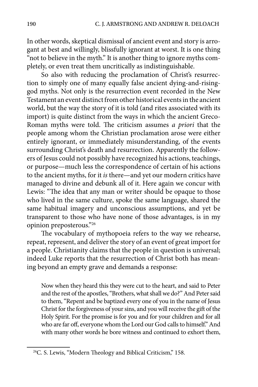In other words, skeptical dismissal of ancient event and story is arrogant at best and willingly, blissfully ignorant at worst. It is one thing "not to believe in the myth." It is another thing to ignore myths completely, or even treat them uncritically as indistinguishable.

So also with reducing the proclamation of Christ's resurrection to simply one of many equally false ancient dying-and-risinggod myths. Not only is the resurrection event recorded in the New Testament an event distinct from other historical events in the ancient world, but the way the story of it is told (and rites associated with its import) is quite distinct from the ways in which the ancient Greco-Roman myths were told. The criticism assumes *a priori* that the people among whom the Christian proclamation arose were either entirely ignorant, or immediately misunderstanding, of the events surrounding Christ's death and resurrection. Apparently the followers of Jesus could not possibly have recognized his actions, teachings, or purpose—much less the correspondence of certain of his actions to the ancient myths, for it *is* there—and yet our modern critics have managed to divine and debunk all of it. Here again we concur with Lewis: "The idea that any man or writer should be opaque to those who lived in the same culture, spoke the same language, shared the same habitual imagery and unconscious assumptions, and yet be transparent to those who have none of those advantages, is in my opinion preposterous."26

The vocabulary of mythopoeia refers to the way we rehearse, repeat, represent, and deliver the story of an event of great import for a people. Christianity claims that the people in question is universal; indeed Luke reports that the resurrection of Christ both has meaning beyond an empty grave and demands a response:

Now when they heard this they were cut to the heart, and said to Peter and the rest of the apostles, "Brothers, what shall we do?" And Peter said to them, "Repent and be baptized every one of you in the name of Jesus Christ for the forgiveness of your sins, and you will receive the gift of the Holy Spirit. For the promise is for you and for your children and for all who are far off, everyone whom the Lord our God calls to himself." And with many other words he bore witness and continued to exhort them,

<sup>&</sup>lt;sup>26</sup>C. S. Lewis, "Modern Theology and Biblical Criticism," 158.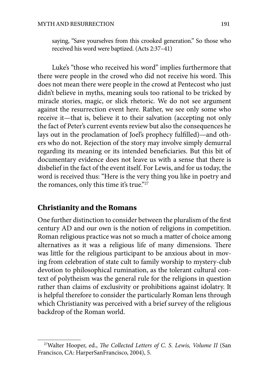saying, "Save yourselves from this crooked generation." So those who received his word were baptized. (Acts 2:37–41)

Luke's "those who received his word" implies furthermore that there were people in the crowd who did not receive his word. This does not mean there were people in the crowd at Pentecost who just didn't believe in myths, meaning souls too rational to be tricked by miracle stories, magic, or slick rhetoric. We do not see argument against the resurrection event here. Rather, we see only some who receive it—that is, believe it to their salvation (accepting not only the fact of Peter's current events review but also the consequences he lays out in the proclamation of Joel's prophecy fulfilled)—and others who do not. Rejection of the story may involve simply demurral regarding its meaning or its intended beneficiaries. But this bit of documentary evidence does not leave us with a sense that there is disbelief in the fact of the event itself. For Lewis, and for us today, the word is received thus: "Here is the very thing you like in poetry and the romances, only this time it's true."<sup>27</sup>

#### **Christianity and the Romans**

One further distinction to consider between the pluralism of the first century AD and our own is the notion of religions in competition. Roman religious practice was not so much a matter of choice among alternatives as it was a religious life of many dimensions. There was little for the religious participant to be anxious about in moving from celebration of state cult to family worship to mystery-club devotion to philosophical rumination, as the tolerant cultural context of polytheism was the general rule for the religions in question rather than claims of exclusivity or prohibitions against idolatry. It is helpful therefore to consider the particularly Roman lens through which Christianity was perceived with a brief survey of the religious backdrop of the Roman world.

<sup>&</sup>lt;sup>27</sup>Walter Hooper, ed., *The Collected Letters of C. S. Lewis, Volume II* (San Francisco, CA: HarperSanFrancisco, 2004), 5.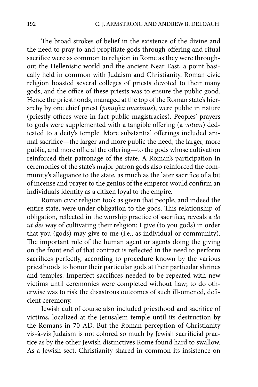The broad strokes of belief in the existence of the divine and the need to pray to and propitiate gods through offering and ritual sacrifice were as common to religion in Rome as they were throughout the Hellenistic world and the ancient Near East, a point basically held in common with Judaism and Christianity. Roman civic religion boasted several colleges of priests devoted to their many gods, and the office of these priests was to ensure the public good. Hence the priesthoods, managed at the top of the Roman state's hierarchy by one chief priest (*pontifex maximus*), were public in nature (priestly offices were in fact public magistracies). Peoples' prayers to gods were supplemented with a tangible offering (a *votum*) dedicated to a deity's temple. More substantial offerings included animal sacrifice—the larger and more public the need, the larger, more public, and more official the offering—to the gods whose cultivation reinforced their patronage of the state. A Roman's participation in ceremonies of the state's major patron gods also reinforced the community's allegiance to the state, as much as the later sacrifice of a bit of incense and prayer to the genius of the emperor would confirm an individual's identity as a citizen loyal to the empire.

Roman civic religion took as given that people, and indeed the entire state, were under obligation to the gods. This relationship of obligation, reflected in the worship practice of sacrifice, reveals a *do ut des* way of cultivating their religion: I give (to you gods) in order that you (gods) may give to me (i.e., as individual or community). The important role of the human agent or agents doing the giving on the front end of that contract is reflected in the need to perform sacrifices perfectly, according to procedure known by the various priesthoods to honor their particular gods at their particular shrines and temples. Imperfect sacrifices needed to be repeated with new victims until ceremonies were completed without flaw; to do otherwise was to risk the disastrous outcomes of such ill-omened, deficient ceremony.

Jewish cult of course also included priesthood and sacrifice of victims, localized at the Jerusalem temple until its destruction by the Romans in 70 AD. But the Roman perception of Christianity vis-à-vis Judaism is not colored so much by Jewish sacrificial practice as by the other Jewish distinctives Rome found hard to swallow. As a Jewish sect, Christianity shared in common its insistence on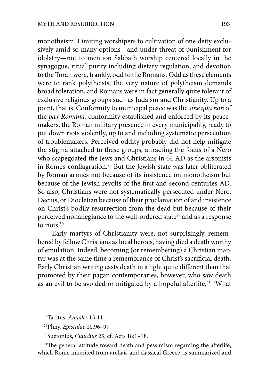monotheism. Limiting worshipers to cultivation of one deity exclusively amid so many options—and under threat of punishment for idolatry—not to mention Sabbath worship centered locally in the synagogue, ritual purity including dietary regulation, and devotion to the Torah were, frankly, odd to the Romans. Odd as these elements were to rank polytheists, the very nature of polytheism demands broad toleration, and Romans were in fact generally quite tolerant of exclusive religious groups such as Judaism and Christianity. Up to a point, that is. Conformity to municipal peace was the *sine qua non* of the *pax Romana*, conformity established and enforced by its peacemakers, the Roman military presence in every municipality, ready to put down riots violently, up to and including systematic persecution of troublemakers. Perceived oddity probably did not help mitigate the stigma attached to these groups, attracting the focus of a Nero who scapegoated the Jews and Christians in 64 AD as the arsonists in Rome's conflagration.<sup>28</sup> But the Jewish state was later obliterated by Roman armies not because of its insistence on monotheism but because of the Jewish revolts of the first and second centuries AD. So also, Christians were not systematically persecuted under Nero, Decius, or Diocletian because of their proclamation of and insistence on Christ's bodily resurrection from the dead but because of their perceived nonallegiance to the well-ordered state<sup>29</sup> and as a response to riots.30

Early martyrs of Christianity were, not surprisingly, remembered by fellow Christians as local heroes, having died a death worthy of emulation. Indeed, becoming (or remembering) a Christian martyr was at the same time a remembrance of Christ's sacrificial death. Early Christian writing casts death in a light quite different than that promoted by their pagan contemporaries, however, who saw death as an evil to be avoided or mitigated by a hopeful afterlife.<sup>31</sup> "What

<sup>28</sup>Tacitus, *Annales* 15.44.

<sup>29</sup>Pliny, *Epistulae* 10.96–97.

<sup>30</sup>Suetonius, *Claudius* 25; cf. Acts 18:1–18.

<sup>&</sup>lt;sup>31</sup>The general attitude toward death and pessimism regarding the afterlife, which Rome inherited from archaic and classical Greece, is summarized and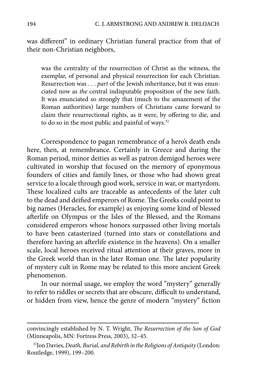was different" in ordinary Christian funeral practice from that of their non-Christian neighbors,

was the centrality of the resurrection of Christ as the witness, the exemplar, of personal and physical resurrection for each Christian. Resurrection was . . . *part* of the Jewish inheritance, but it was enunciated now as *the* central indisputable proposition of the new faith. It was enunciated so strongly that (much to the amazement of the Roman authorities) large numbers of Christians came forward to claim their resurrectional rights, as it were, by offering to die, and to do so in the most public and painful of ways.<sup>32</sup>

Correspondence to pagan remembrance of a hero's death ends here, then, at remembrance. Certainly in Greece and during the Roman period, minor deities as well as patron demigod heroes were cultivated in worship that focused on the memory of eponymous founders of cities and family lines, or those who had shown great service to a locale through good work, service in war, or martyrdom. These localized cults are traceable as antecedents of the later cult to the dead and deified emperors of Rome. The Greeks could point to big names (Heracles, for example) as enjoying some kind of blessed afterlife on Olympus or the Isles of the Blessed, and the Romans considered emperors whose honors surpassed other living mortals to have been catasterized (turned into stars or constellations and therefore having an afterlife existence in the heavens). On a smaller scale, local heroes received ritual attention at their graves, more in the Greek world than in the later Roman one. The later popularity of mystery cult in Rome may be related to this more ancient Greek phenomenon.

In our normal usage, we employ the word "mystery" generally to refer to riddles or secrets that are obscure, difficult to understand, or hidden from view, hence the genre of modern "mystery" fiction

convincingly established by N. T. Wright, *The Resurrection of the Son of God* (Minneapolis, MN: Fortress Press, 2003), 32–45.

<sup>32</sup>Jon Davies, *Death, Burial, and Rebirth in the Religions of Antiquity* (London: Routledge, 1999), 199–200.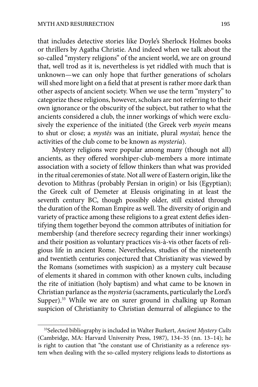that includes detective stories like Doyle's Sherlock Holmes books or thrillers by Agatha Christie. And indeed when we talk about the so-called "mystery religions" of the ancient world, we are on ground that, well trod as it is, nevertheless is yet riddled with much that is unknown—we can only hope that further generations of scholars will shed more light on a field that at present is rather more dark than other aspects of ancient society. When we use the term "mystery" to categorize these religions, however, scholars are not referring to their own ignorance or the obscurity of the subject, but rather to what the ancients considered a club, the inner workings of which were exclusively the experience of the initiated (the Greek verb *myein* means to shut or close; a *myst*ē*s* was an initiate, plural *mystai*; hence the activities of the club come to be known as *mysteria*).

Mystery religions were popular among many (though not all) ancients, as they offered worshiper-club-members a more intimate association with a society of fellow thinkers than what was provided in the ritual ceremonies of state. Not all were of Eastern origin, like the devotion to Mithras (probably Persian in origin) or Isis (Egyptian); the Greek cult of Demeter at Eleusis originating in at least the seventh century BC, though possibly older, still existed through the duration of the Roman Empire as well. The diversity of origin and variety of practice among these religions to a great extent defies identifying them together beyond the common attributes of initiation for membership (and therefore secrecy regarding their inner workings) and their position as voluntary practices vis-à-vis other facets of religious life in ancient Rome. Nevertheless, studies of the nineteenth and twentieth centuries conjectured that Christianity was viewed by the Romans (sometimes with suspicion) as a mystery cult because of elements it shared in common with other known cults, including the rite of initiation (holy baptism) and what came to be known in Christian parlance as the *mysteria* (sacraments, particularly the Lord's Supper).<sup>33</sup> While we are on surer ground in chalking up Roman suspicion of Christianity to Christian demurral of allegiance to the

<sup>33</sup>Selected bibliography is included in Walter Burkert, *Ancient Mystery Cults* (Cambridge, MA: Harvard University Press, 1987), 134–35 (nn. 13–14); he is right to caution that "the constant use of Christianity as a reference system when dealing with the so-called mystery religions leads to distortions as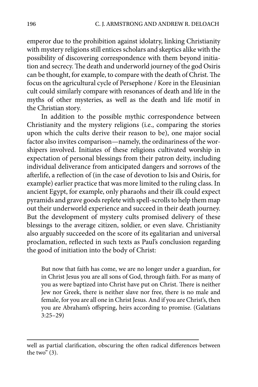emperor due to the prohibition against idolatry, linking Christianity with mystery religions still entices scholars and skeptics alike with the possibility of discovering correspondence with them beyond initiation and secrecy. The death and underworld journey of the god Osiris can be thought, for example, to compare with the death of Christ. The focus on the agricultural cycle of Persephone / Kore in the Eleusinian cult could similarly compare with resonances of death and life in the myths of other mysteries, as well as the death and life motif in the Christian story.

In addition to the possible mythic correspondence between Christianity and the mystery religions (i.e., comparing the stories upon which the cults derive their reason to be), one major social factor also invites comparison—namely, the ordinariness of the worshipers involved. Initiates of these religions cultivated worship in expectation of personal blessings from their patron deity, including individual deliverance from anticipated dangers and sorrows of the afterlife, a reflection of (in the case of devotion to Isis and Osiris, for example) earlier practice that was more limited to the ruling class. In ancient Egypt, for example, only pharaohs and their ilk could expect pyramids and grave goods replete with spell-scrolls to help them map out their underworld experience and succeed in their death journey. But the development of mystery cults promised delivery of these blessings to the average citizen, soldier, or even slave. Christianity also arguably succeeded on the score of its egalitarian and universal proclamation, reflected in such texts as Paul's conclusion regarding the good of initiation into the body of Christ:

But now that faith has come, we are no longer under a guardian, for in Christ Jesus you are all sons of God, through faith. For as many of you as were baptized into Christ have put on Christ. There is neither Jew nor Greek, there is neither slave nor free, there is no male and female, for you are all one in Christ Jesus. And if you are Christ's, then you are Abraham's offspring, heirs according to promise. (Galatians 3:25–29)

well as partial clarification, obscuring the often radical differences between the two"  $(3)$ .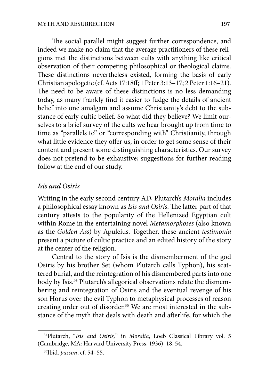The social parallel might suggest further correspondence, and indeed we make no claim that the average practitioners of these religions met the distinctions between cults with anything like critical observation of their competing philosophical or theological claims. These distinctions nevertheless existed, forming the basis of early Christian apologetic (cf. Acts 17:18%; 1 Peter 3:13–17; 2 Peter 1:16–21). The need to be aware of these distinctions is no less demanding today, as many frankly find it easier to fudge the details of ancient belief into one amalgam and assume Christianity's debt to the substance of early cultic belief. So what did they believe? We limit ourselves to a brief survey of the cults we hear brought up from time to time as "parallels to" or "corresponding with" Christianity, through what little evidence they offer us, in order to get some sense of their content and present some distinguishing characteristics. Our survey does not pretend to be exhaustive; suggestions for further reading follow at the end of our study.

#### *Isis and Osiris*

Writing in the early second century AD, Plutarch's *Moralia* includes a philosophical essay known as *Isis and Osiris*. The latter part of that century attests to the popularity of the Hellenized Egyptian cult within Rome in the entertaining novel *Metamorphoses* (also known as the *Golden Ass*) by Apuleius. Together, these ancient *testimonia* present a picture of cultic practice and an edited history of the story at the center of the religion.

Central to the story of Isis is the dismemberment of the god Osiris by his brother Set (whom Plutarch calls Typhon), his scattered burial, and the reintegration of his dismembered parts into one body by Isis.<sup>34</sup> Plutarch's allegorical observations relate the dismembering and reintegration of Osiris and the eventual revenge of his son Horus over the evil Typhon to metaphysical processes of reason creating order out of disorder.<sup>35</sup> We are most interested in the substance of the myth that deals with death and afterlife, for which the

<sup>34</sup>Plutarch, "*Isis and Osiris,*" in *Moralia*, Loeb Classical Library vol. 5 (Cambridge, MA: Harvard University Press, 1936), 18, 54.

<sup>35</sup>Ibid. *passim*, cf. 54–55.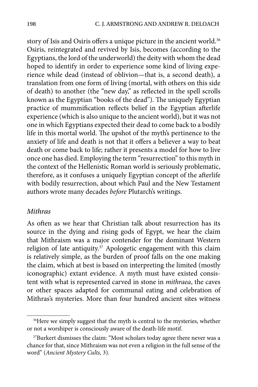story of Isis and Osiris offers a unique picture in the ancient world.<sup>36</sup> Osiris, reintegrated and revived by Isis, becomes (according to the Egyptians, the lord of the underworld) the deity with whom the dead hoped to identify in order to experience some kind of living experience while dead (instead of oblivion—that is, a second death), a translation from one form of living (mortal, with others on this side of death) to another (the "new day," as reflected in the spell scrolls known as the Egyptian "books of the dead"). The uniquely Egyptian practice of mummification reflects belief in the Egyptian afterlife experience (which is also unique to the ancient world), but it was not one in which Egyptians expected their dead to come back to a bodily life in this mortal world. The upshot of the myth's pertinence to the anxiety of life and death is not that it offers a believer a way to beat death or come back to life; rather it presents a model for how to live once one has died. Employing the term "resurrection" to this myth in the context of the Hellenistic Roman world is seriously problematic, therefore, as it confuses a uniquely Egyptian concept of the afterlife with bodily resurrection, about which Paul and the New Testament authors wrote many decades *before* Plutarch's writings.

#### *Mithras*

As often as we hear that Christian talk about resurrection has its source in the dying and rising gods of Egypt, we hear the claim that Mithraism was a major contender for the dominant Western religion of late antiquity.<sup>37</sup> Apologetic engagement with this claim is relatively simple, as the burden of proof falls on the one making the claim, which at best is based on interpreting the limited (mostly iconographic) extant evidence. A myth must have existed consistent with what is represented carved in stone in *mithraea*, the caves or other spaces adapted for communal eating and celebration of Mithras's mysteries. More than four hundred ancient sites witness

<sup>&</sup>lt;sup>36</sup>Here we simply suggest that the myth is central to the mysteries, whether or not a worshiper is consciously aware of the death-life motif.

<sup>&</sup>lt;sup>37</sup>Burkert dismisses the claim: "Most scholars today agree there never was a chance for that, since Mithraism was not even a religion in the full sense of the word" (*Ancient Mystery Cults,* 3).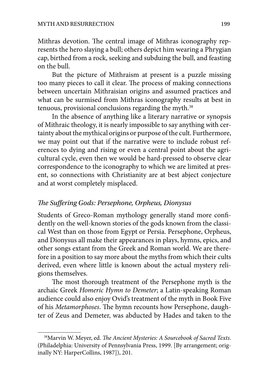Mithras devotion. The central image of Mithras iconography represents the hero slaying a bull; others depict him wearing a Phrygian cap, birthed from a rock, seeking and subduing the bull, and feasting on the bull.

But the picture of Mithraism at present is a puzzle missing too many pieces to call it clear. The process of making connections between uncertain Mithraisian origins and assumed practices and what can be surmised from Mithras iconography results at best in tenuous, provisional conclusions regarding the myth.<sup>38</sup>

In the absence of anything like a literary narrative or synopsis of Mithraic theology, it is nearly impossible to say anything with certainty about the mythical origins or purpose of the cult. Furthermore, we may point out that if the narrative were to include robust references to dying and rising or even a central point about the agricultural cycle, even then we would be hard-pressed to observe clear correspondence to the iconography to which we are limited at present, so connections with Christianity are at best abject conjecture and at worst completely misplaced.

#### *!e Su"ering Gods: Persephone, Orpheus, Dionysus*

Students of Greco-Roman mythology generally stand more confidently on the well-known stories of the gods known from the classical West than on those from Egypt or Persia. Persephone, Orpheus, and Dionysus all make their appearances in plays, hymns, epics, and other songs extant from the Greek and Roman world. We are therefore in a position to say more about the myths from which their cults derived, even where little is known about the actual mystery religions themselves.

The most thorough treatment of the Persephone myth is the archaic Greek *Homeric Hymn to Demeter*; a Latin-speaking Roman audience could also enjoy Ovid's treatment of the myth in Book Five of his *Metamorphoses*. The hymn recounts how Persephone, daughter of Zeus and Demeter, was abducted by Hades and taken to the

<sup>&</sup>lt;sup>38</sup>Marvin W. Meyer, ed. *The Ancient Mysteries: A Sourcebook of Sacred Texts*. (Philadelphia: University of Pennsylvania Press, 1999. [By arrangement; originally NY: HarperCollins, 1987]), 201.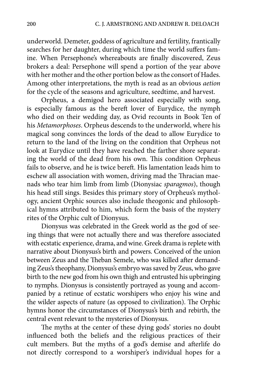underworld. Demeter, goddess of agriculture and fertility, frantically searches for her daughter, during which time the world suffers famine. When Persephone's whereabouts are finally discovered, Zeus brokers a deal: Persephone will spend a portion of the year above with her mother and the other portion below as the consort of Hades. Among other interpretations, the myth is read as an obvious *aetion* for the cycle of the seasons and agriculture, seedtime, and harvest.

Orpheus, a demigod hero associated especially with song, is especially famous as the bereft lover of Eurydice, the nymph who died on their wedding day, as Ovid recounts in Book Ten of his *Metamorphoses*. Orpheus descends to the underworld, where his magical song convinces the lords of the dead to allow Eurydice to return to the land of the living on the condition that Orpheus not look at Eurydice until they have reached the farther shore separating the world of the dead from his own. This condition Orpheus fails to observe, and he is twice bereft. His lamentation leads him to eschew all association with women, driving mad the Thracian maenads who tear him limb from limb (Dionysiac *sparagmos*), though his head still sings. Besides this primary story of Orpheus's mythology, ancient Orphic sources also include theogonic and philosophical hymns attributed to him, which form the basis of the mystery rites of the Orphic cult of Dionysus.

Dionysus was celebrated in the Greek world as the god of seeing things that were not actually there and was therefore associated with ecstatic experience, drama, and wine. Greek drama is replete with narrative about Dionysus's birth and powers. Conceived of the union between Zeus and the Theban Semele, who was killed after demanding Zeus's theophany, Dionysus's embryo was saved by Zeus, who gave birth to the new god from his own thigh and entrusted his upbringing to nymphs. Dionysus is consistently portrayed as young and accompanied by a retinue of ecstatic worshipers who enjoy his wine and the wilder aspects of nature (as opposed to civilization). The Orphic hymns honor the circumstances of Dionysus's birth and rebirth, the central event relevant to the mysteries of Dionysus.

The myths at the center of these dying gods' stories no doubt influenced both the beliefs and the religious practices of their cult members. But the myths of a god's demise and afterlife do not directly correspond to a worshiper's individual hopes for a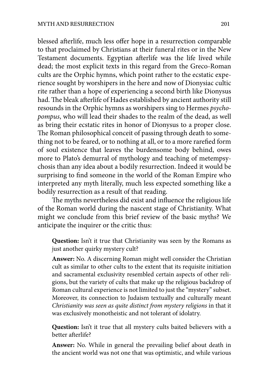blessed afterlife, much less offer hope in a resurrection comparable to that proclaimed by Christians at their funeral rites or in the New Testament documents. Egyptian afterlife was the life lived while dead; the most explicit texts in this regard from the Greco-Roman cults are the Orphic hymns, which point rather to the ecstatic experience sought by worshipers in the here and now of Dionysiac cultic rite rather than a hope of experiencing a second birth like Dionysus had. The bleak afterlife of Hades established by ancient authority still resounds in the Orphic hymns as worshipers sing to Hermes *psychopompus*, who will lead their shades to the realm of the dead, as well as bring their ecstatic rites in honor of Dionysus to a proper close. The Roman philosophical conceit of passing through death to something not to be feared, or to nothing at all, or to a more rarefied form of soul existence that leaves the burdensome body behind, owes more to Plato's demurral of mythology and teaching of metempsychosis than any idea about a bodily resurrection. Indeed it would be surprising to find someone in the world of the Roman Empire who interpreted any myth literally, much less expected something like a bodily resurrection as a result of that reading.

The myths nevertheless did exist and influence the religious life of the Roman world during the nascent stage of Christianity. What might we conclude from this brief review of the basic myths? We anticipate the inquirer or the critic thus:

**Question:** Isn't it true that Christianity was seen by the Romans as just another quirky mystery cult?

**Answer:** No. A discerning Roman might well consider the Christian cult as similar to other cults to the extent that its requisite initiation and sacramental exclusivity resembled certain aspects of other religions, but the variety of cults that make up the religious backdrop of Roman cultural experience is not limited to just the "mystery" subset. Moreover, its connection to Judaism textually and culturally meant *Christianity was seen as quite distinct from mystery religions* in that it was exclusively monotheistic and not tolerant of idolatry.

**Question:** Isn't it true that all mystery cults baited believers with a better afterlife?

**Answer:** No. While in general the prevailing belief about death in the ancient world was not one that was optimistic, and while various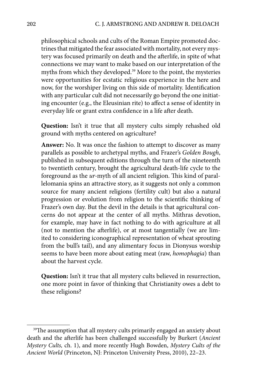philosophical schools and cults of the Roman Empire promoted doctrines that mitigated the fear associated with mortality, not every mystery was focused primarily on death and the afterlife, in spite of what connections we may want to make based on our interpretation of the myths from which they developed.<sup>39</sup> More to the point, the mysteries were opportunities for ecstatic religious experience in the here and now, for the worshiper living on this side of mortality. Identification with any particular cult did not necessarily go beyond the one initiating encounter (e.g., the Eleusinian rite) to affect a sense of identity in everyday life or grant extra confidence in a life after death.

**Question:** Isn't it true that all mystery cults simply rehashed old ground with myths centered on agriculture?

**Answer:** No. It was once the fashion to attempt to discover as many parallels as possible to archetypal myths, and Frazer's *Golden Bough*, published in subsequent editions through the turn of the nineteenth to twentieth century, brought the agricultural death-life cycle to the foreground as the *ur-*myth of all ancient religion. This kind of parallelomania spins an attractive story, as it suggests not only a common source for many ancient religions (fertility cult) but also a natural progression or evolution from religion to the scientific thinking of Frazer's own day. But the devil in the details is that agricultural concerns do not appear at the center of all myths. Mithras devotion, for example, may have in fact nothing to do with agriculture at all (not to mention the afterlife), or at most tangentially (we are limited to considering iconographical representation of wheat sprouting from the bull's tail), and any alimentary focus in Dionysus worship seems to have been more about eating meat (raw, *homophagia*) than about the harvest cycle.

**Question:** Isn't it true that all mystery cults believed in resurrection, one more point in favor of thinking that Christianity owes a debt to these religions?

<sup>&</sup>lt;sup>39</sup>The assumption that all mystery cults primarily engaged an anxiety about death and the afterlife has been challenged successfully by Burkert (*Ancient Mystery Cults,* ch. 1), and more recently Hugh Bowden, *Mystery Cults of the Ancient World* (Princeton, NJ: Princeton University Press, 2010), 22–23.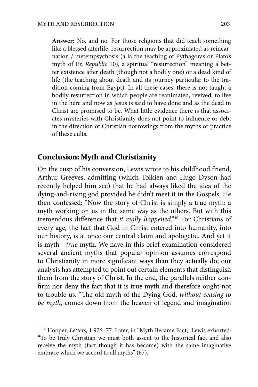**Answer:** No, and no. For those religions that did teach something like a blessed afterlife, resurrection may be approximated as reincarnation / metempsychosis (a la the teaching of Pythagoras or Plato's myth of Er, *Republic* 10), a spiritual "resurrection" meaning a better existence after death (though not a bodily one) or a dead kind of life (the teaching about death and its journey particular to the tradition coming from Egypt). In all these cases, there is not taught a bodily resurrection in which people are reanimated, revived, to live in the here and now as Jesus is said to have done and as the dead in Christ are promised to be. What little evidence there is that associates mysteries with Christianity does not point to influence or debt in the direction of Christian borrowings from the myths or practice of these cults.

#### **Conclusion: Myth and Christianity**

On the cusp of his conversion, Lewis wrote to his childhood friend, Arthur Greeves, admitting (which Tolkien and Hugo Dyson had recently helped him see) that he had always liked the idea of the dying-and-rising god provided he didn't meet it in the Gospels. He then confessed: "Now the story of Christ is simply a true myth: a myth working on us in the same way as the others. But with this tremendous difference that *it really happened*."<sup>40</sup> For Christians of every age, the fact that God in Christ entered into humanity, into our history, is at once our central claim and apologetic. And yet it is myth—*true* myth. We have in this brief examination considered several ancient myths that popular opinion assumes correspond to Christianity in more significant ways than they actually do; our analysis has attempted to point out certain elements that distinguish them from the story of Christ. In the end, the parallels neither con firm nor deny the fact that it is true myth and therefore ought not to trouble us. "The old myth of the Dying God, *without ceasing to be myth*, comes down from the heaven of legend and imagination

<sup>40</sup>Hooper, *Letters,* 1:976–77. Later, in "Myth Became Fact," Lewis exhorted: "To be truly Christian we must both assent to the historical fact and also receive the myth (fact though it has become) with the same imaginative embrace which we accord to all myths" (67).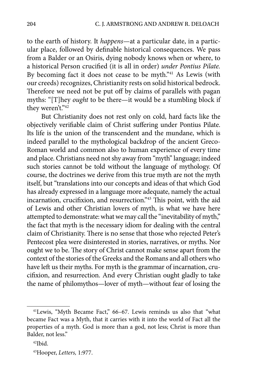to the earth of history. It *happens*—at a particular date, in a particular place, followed by definable historical consequences. We pass from a Balder or an Osiris, dying nobody knows when or where, to a historical Person crucified (it is all in order) *under Pontius Pilate*. By becoming fact it does not cease to be myth."41 As Lewis (with our creeds) recognizes, Christianity rests on solid historical bedrock. Therefore we need not be put off by claims of parallels with pagan myths: "[T]hey *ought* to be there—it would be a stumbling block if they weren't."42

But Christianity does not rest only on cold, hard facts like the objectively verifiable claim of Christ suffering under Pontius Pilate. Its life is the union of the transcendent and the mundane, which is indeed parallel to the mythological backdrop of the ancient Greco-Roman world and common also to human experience of every time and place. Christians need not shy away from "myth" language; indeed such stories cannot be told without the language of mythology. Of course, the doctrines we derive from this true myth are not the myth itself, but "translations into our concepts and ideas of that which God has already expressed in a language more adequate, namely the actual incarnation, crucifixion, and resurrection."<sup>43</sup> This point, with the aid of Lewis and other Christian lovers of myth, is what we have here attempted to demonstrate: what we may call the "inevitability of myth," the fact that myth is the necessary idiom for dealing with the central claim of Christianity. There is no sense that those who rejected Peter's Pentecost plea were disinterested in stories, narratives, or myths. Nor ought we to be. The story of Christ cannot make sense apart from the context of the stories of the Greeks and the Romans and all others who have left us their myths. For myth is the grammar of incarnation, crucifixion, and resurrection. And every Christian ought gladly to take the name of philomythos—lover of myth—without fear of losing the

<sup>41</sup>Lewis, "Myth Became Fact," 66–67. Lewis reminds us also that "what became Fact was a Myth, that it carries with it into the world of Fact all the properties of a myth. God is more than a god, not less; Christ is more than Balder, not less."

 $42$ Ibid.

<sup>43</sup>Hooper, *Letters,* 1:977.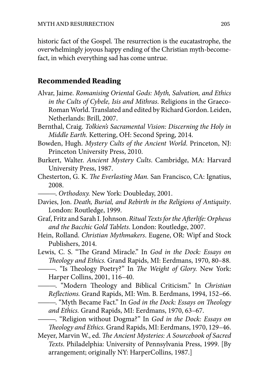historic fact of the Gospel. The resurrection is the eucatastrophe, the overwhelmingly joyous happy ending of the Christian myth-becomefact, in which everything sad has come untrue.

#### **Recommended Reading**

- Alvar, Jaime. *Romanising Oriental Gods: Myth, Salvation, and Ethics in the Cults of Cybele, Isis and Mithras*. Religions in the Graeco-Roman World. Translated and edited by Richard Gordon. Leiden, Netherlands: Brill, 2007.
- Bernthal, Craig. *Tolkien's Sacramental Vision: Discerning the Holy in Middle Earth.* Kettering, OH: Second Spring, 2014.
- Bowden, Hugh. *Mystery Cults of the Ancient World*. Princeton, NJ: Princeton University Press, 2010.
- Burkert, Walter. *Ancient Mystery Cults*. Cambridge, MA: Harvard University Press, 1987.
- Chesterton, G. K. The Everlasting Man. San Francisco, CA: Ignatius, 2008.
	- ———. *Orthodoxy.* New York: Doubleday, 2001.
- Davies, Jon. *Death, Burial, and Rebirth in the Religions of Antiquity*. London: Routledge, 1999.
- Graf, Fritz and Sarah I. Johnson. *Ritual Texts for the Afterlife: Orpheus and the Bacchic Gold Tablets*. London: Routledge, 2007.
- Hein, Rolland. *Christian Mythmakers*. Eugene, OR: Wipf and Stock Publishers, 2014.
- Lewis, C. S. "The Grand Miracle." In God in the Dock: Essays on !*eology and Ethics.* Grand Rapids, MI: Eerdmans, 1970, 80–88.
	- ----. "Is Theology Poetry?" In *The Weight of Glory*. New York: Harper Collins, 2001, 116–40.
- - "Modern Theology and Biblical Criticism." In *Christian Re*"*ections.* Grand Rapids, MI: Wm. B. Eerdmans, 1994, 152–66.
	- ——. "Myth Became Fact." In *God in the Dock: Essays on Theology and Ethics.* Grand Rapids, MI: Eerdmans, 1970, 63–67.
	- ———. "Religion without Dogma?" In *God in the Dock: Essays on*  !*eology and Ethics.* Grand Rapids, MI: Eerdmans, 1970, 129–46.

Meyer, Marvin W., ed. *The Ancient Mysteries: A Sourcebook of Sacred Texts*. Philadelphia: University of Pennsylvania Press, 1999. [By arrangement; originally NY: HarperCollins, 1987.]